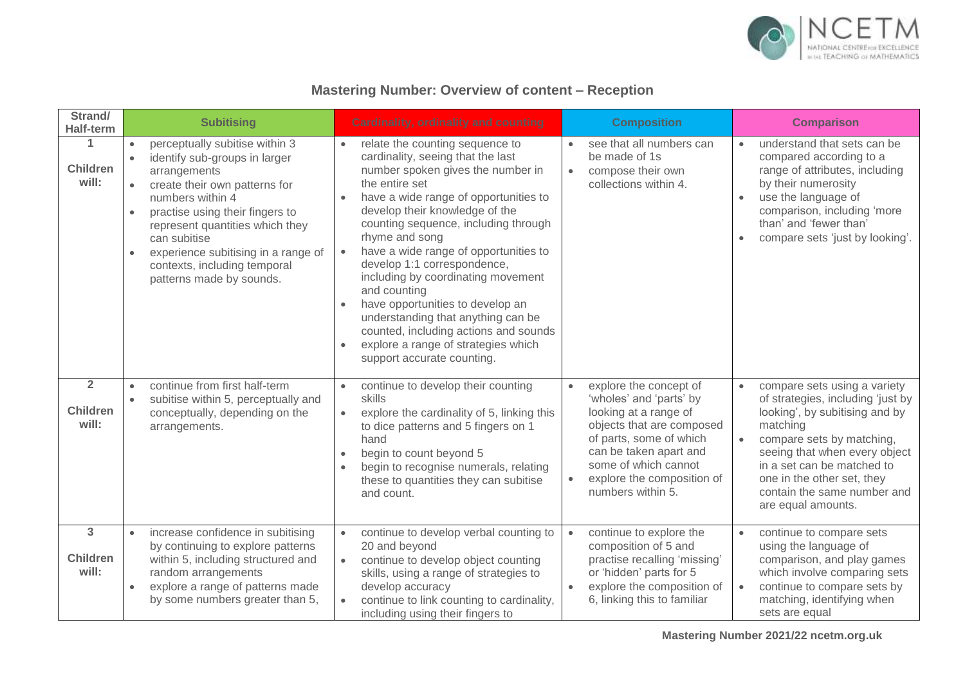

## **Mastering Number: Overview of content – Reception**

| Strand/<br><b>Half-term</b>                | <b>Subitising</b>                                                                                                                                                                                                                                                                                                                                                                 | <b>Cardinality, ordinality and counting</b>                                                                                                                                                                                                                                                                                                                                                                                                                                                                                                                                                                      | <b>Composition</b>                                                                                                                                                                                                                                                | <b>Comparison</b>                                                                                                                                                                                                                                                                                                        |
|--------------------------------------------|-----------------------------------------------------------------------------------------------------------------------------------------------------------------------------------------------------------------------------------------------------------------------------------------------------------------------------------------------------------------------------------|------------------------------------------------------------------------------------------------------------------------------------------------------------------------------------------------------------------------------------------------------------------------------------------------------------------------------------------------------------------------------------------------------------------------------------------------------------------------------------------------------------------------------------------------------------------------------------------------------------------|-------------------------------------------------------------------------------------------------------------------------------------------------------------------------------------------------------------------------------------------------------------------|--------------------------------------------------------------------------------------------------------------------------------------------------------------------------------------------------------------------------------------------------------------------------------------------------------------------------|
| 1<br><b>Children</b><br>will:              | perceptually subitise within 3<br>identify sub-groups in larger<br>$\bullet$<br>arrangements<br>create their own patterns for<br>$\bullet$<br>numbers within 4<br>practise using their fingers to<br>$\bullet$<br>represent quantities which they<br>can subitise<br>experience subitising in a range of<br>$\bullet$<br>contexts, including temporal<br>patterns made by sounds. | relate the counting sequence to<br>cardinality, seeing that the last<br>number spoken gives the number in<br>the entire set<br>have a wide range of opportunities to<br>develop their knowledge of the<br>counting sequence, including through<br>rhyme and song<br>have a wide range of opportunities to<br>$\bullet$<br>develop 1:1 correspondence,<br>including by coordinating movement<br>and counting<br>have opportunities to develop an<br>$\bullet$<br>understanding that anything can be<br>counted, including actions and sounds<br>explore a range of strategies which<br>support accurate counting. | see that all numbers can<br>$\bullet$<br>be made of 1s<br>compose their own<br>$\bullet$<br>collections within 4.                                                                                                                                                 | understand that sets can be<br>$\bullet$<br>compared according to a<br>range of attributes, including<br>by their numerosity<br>use the language of<br>$\bullet$<br>comparison, including 'more<br>than' and 'fewer than'<br>compare sets 'just by looking'.                                                             |
| $\overline{2}$<br><b>Children</b><br>will: | continue from first half-term<br>subitise within 5, perceptually and<br>$\bullet$<br>conceptually, depending on the<br>arrangements.                                                                                                                                                                                                                                              | continue to develop their counting<br>skills<br>explore the cardinality of 5, linking this<br>$\bullet$<br>to dice patterns and 5 fingers on 1<br>hand<br>begin to count beyond 5<br>begin to recognise numerals, relating<br>these to quantities they can subitise<br>and count.                                                                                                                                                                                                                                                                                                                                | explore the concept of<br>$\bullet$<br>'wholes' and 'parts' by<br>looking at a range of<br>objects that are composed<br>of parts, some of which<br>can be taken apart and<br>some of which cannot<br>explore the composition of<br>$\bullet$<br>numbers within 5. | compare sets using a variety<br>$\bullet$<br>of strategies, including 'just by<br>looking', by subitising and by<br>matching<br>compare sets by matching,<br>$\bullet$<br>seeing that when every object<br>in a set can be matched to<br>one in the other set, they<br>contain the same number and<br>are equal amounts. |
| 3<br><b>Children</b><br>will:              | increase confidence in subitising<br>$\bullet$<br>by continuing to explore patterns<br>within 5, including structured and<br>random arrangements<br>explore a range of patterns made<br>$\bullet$<br>by some numbers greater than 5,                                                                                                                                              | continue to develop verbal counting to<br>20 and beyond<br>continue to develop object counting<br>$\bullet$<br>skills, using a range of strategies to<br>develop accuracy<br>continue to link counting to cardinality,<br>including using their fingers to                                                                                                                                                                                                                                                                                                                                                       | continue to explore the<br>$\bullet$<br>composition of 5 and<br>practise recalling 'missing'<br>or 'hidden' parts for 5<br>explore the composition of<br>$\bullet$<br>6, linking this to familiar                                                                 | continue to compare sets<br>$\bullet$<br>using the language of<br>comparison, and play games<br>which involve comparing sets<br>continue to compare sets by<br>$\bullet$<br>matching, identifying when<br>sets are equal                                                                                                 |